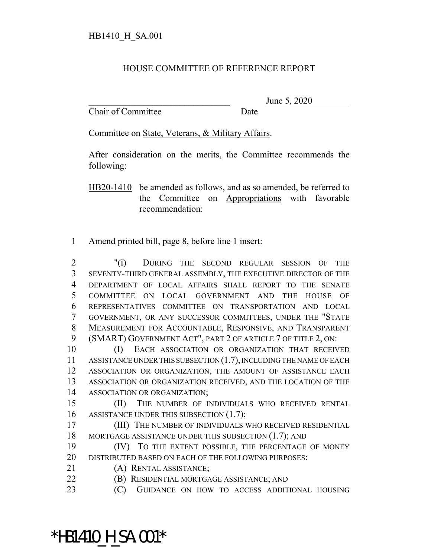## HOUSE COMMITTEE OF REFERENCE REPORT

Chair of Committee Date

June 5, 2020

Committee on State, Veterans, & Military Affairs.

After consideration on the merits, the Committee recommends the following:

HB20-1410 be amended as follows, and as so amended, be referred to the Committee on Appropriations with favorable recommendation:

Amend printed bill, page 8, before line 1 insert:

 "(i) DURING THE SECOND REGULAR SESSION OF THE SEVENTY-THIRD GENERAL ASSEMBLY, THE EXECUTIVE DIRECTOR OF THE DEPARTMENT OF LOCAL AFFAIRS SHALL REPORT TO THE SENATE COMMITTEE ON LOCAL GOVERNMENT AND THE HOUSE OF REPRESENTATIVES COMMITTEE ON TRANSPORTATION AND LOCAL GOVERNMENT, OR ANY SUCCESSOR COMMITTEES, UNDER THE "STATE MEASUREMENT FOR ACCOUNTABLE, RESPONSIVE, AND TRANSPARENT (SMART) GOVERNMENT ACT", PART 2 OF ARTICLE 7 OF TITLE 2, ON:

 (I) EACH ASSOCIATION OR ORGANIZATION THAT RECEIVED ASSISTANCE UNDER THIS SUBSECTION (1.7), INCLUDING THE NAME OF EACH ASSOCIATION OR ORGANIZATION, THE AMOUNT OF ASSISTANCE EACH ASSOCIATION OR ORGANIZATION RECEIVED, AND THE LOCATION OF THE ASSOCIATION OR ORGANIZATION;

 (II) THE NUMBER OF INDIVIDUALS WHO RECEIVED RENTAL 16 ASSISTANCE UNDER THIS SUBSECTION (1.7);

- (III) THE NUMBER OF INDIVIDUALS WHO RECEIVED RESIDENTIAL 18 MORTGAGE ASSISTANCE UNDER THIS SUBSECTION (1.7); AND
- (IV) TO THE EXTENT POSSIBLE, THE PERCENTAGE OF MONEY DISTRIBUTED BASED ON EACH OF THE FOLLOWING PURPOSES:
- (A) RENTAL ASSISTANCE;

(B) RESIDENTIAL MORTGAGE ASSISTANCE; AND

(C) GUIDANCE ON HOW TO ACCESS ADDITIONAL HOUSING

\*HB1410 H SA.001\*